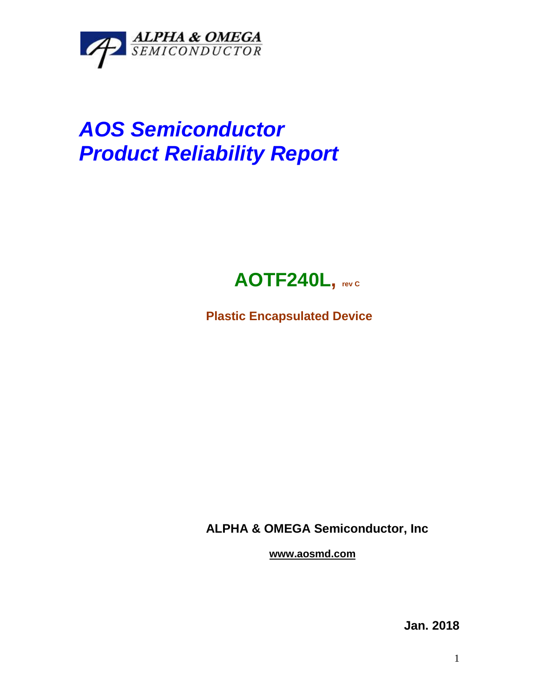

## *AOS Semiconductor Product Reliability Report*



**Plastic Encapsulated Device**

**ALPHA & OMEGA Semiconductor, Inc**

**www.aosmd.com**

**Jan. 2018**